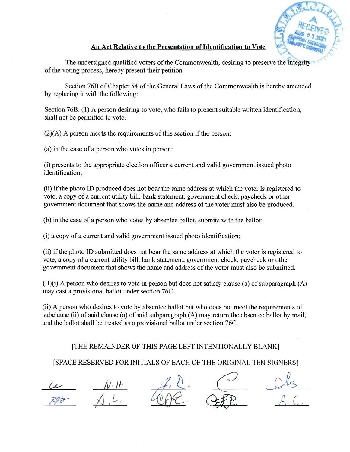

## **An Act Relative to the Presentation ofIdentification to Vote**

The undersigned qualified voters of the Commonwealth, desiring to preserve the integrity of the voting process, hereby present their petition.

Section 76B of Chapter 54 of the General Laws of the Commonwealth is hereby amended by replacing it with the following:

Section 76B. (1) A person desiring to vote, who fails to present suitable written identification, shall not be permitted to vote.

 $(2)$ (A) A person meets the requirements of this section if the person:

(a) in the case of a person who votes in person:

(i) presents to the appropriate election officer a current and valid government issued photo identification;

(ii) ifthe photo ID produced does not bear the same address at which the voter is registered to vote, a copy of a current utility bill, bank statement, government check, paycheck or other government document that shows the name and address of the voter must also be produced.

(b) in the case of a person who votes by absentee ballot, submits with the ballot:

(i) a copy of a current and valid government issued photo identification;

(ii) ifthe photo ID submitted does not bear the same address at which the voter is registered to vote, a copy of a current utility bill, bank statement, government check, paycheck or other government document that shows the name and address of the voter must also be submitted.

 $(B)(i)$  A person who desires to vote in person but does not satisfy clause (a) of subparagraph  $(A)$ may cast a provisional ballot under section 76C.

(ii) A person who desires to vote by absentee ballot but who does not meet the requirements of subclause (ii) of said clause (a) of said subparagraph  $(A)$  may return the absentee ballot by mail, and the ballot shall be treated as a provisional ballot under section 76C.

## [THE REMAINDER OF THIS PAGE LEFT INTENTIONALLY BLANK]

[SPACE RESERVED FOR INITIALS OF EACH OF THE ORIGINAL TEN SIGNERS]